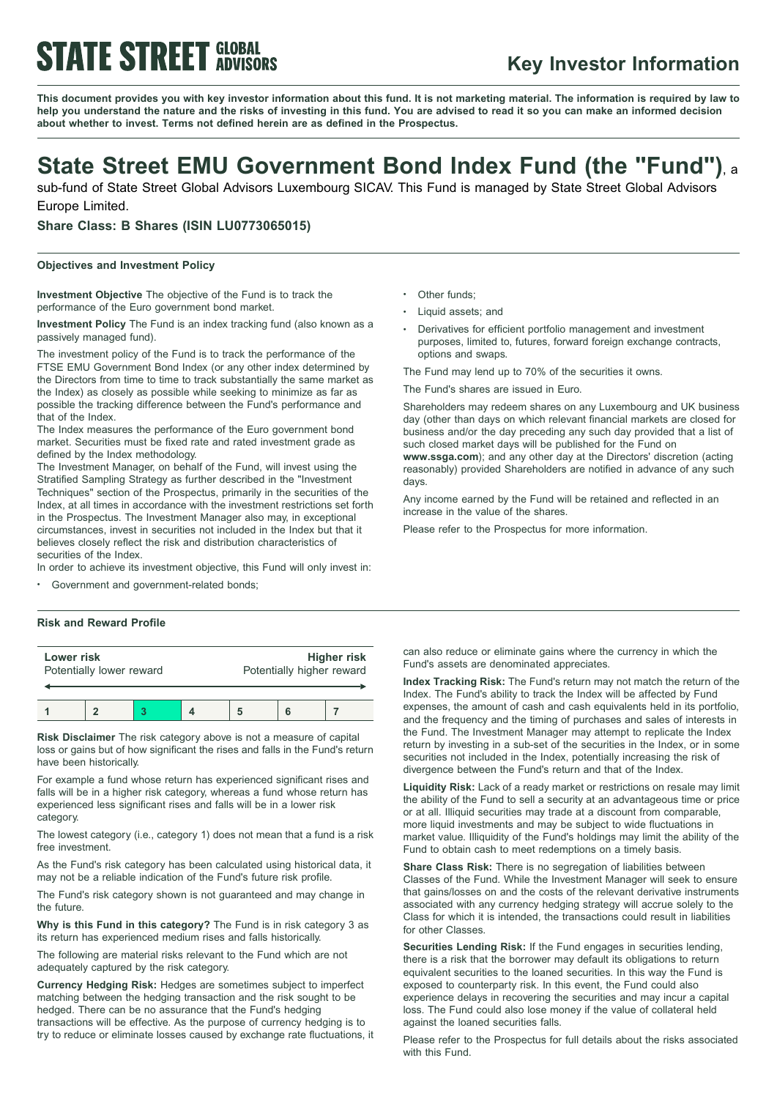# **STATE STREET GLOBAL**

### **Key Investor Information**

This document provides you with key investor information about this fund. It is not marketing material. The information is required by law to help you understand the nature and the risks of investing in this fund. You are advised to read it so you can make an informed decision **about whether to invest. Terms not defined herein are as defined in the Prospectus.**

## **State Street EMU Government Bond Index Fund (the "Fund")**, <sup>a</sup>

sub-fund of State Street Global Advisors Luxembourg SICAV. This Fund is managed by State Street Global Advisors Europe Limited.

**Share Class: B Shares (ISIN LU0773065015)**

#### **Objectives and Investment Policy**

**Investment Objective** The objective of the Fund is to track the performance of the Euro government bond market.

**Investment Policy** The Fund is an index tracking fund (also known as a passively managed fund).

The investment policy of the Fund is to track the performance of the FTSE EMU Government Bond Index (or any other index determined by the Directors from time to time to track substantially the same market as the Index) as closely as possible while seeking to minimize as far as possible the tracking difference between the Fund's performance and that of the Index.

The Index measures the performance of the Euro government bond market. Securities must be fixed rate and rated investment grade as defined by the Index methodology.

The Investment Manager, on behalf of the Fund, will invest using the Stratified Sampling Strategy as further described in the "Investment Techniques" section of the Prospectus, primarily in the securities of the Index, at all times in accordance with the investment restrictions set forth in the Prospectus. The Investment Manager also may, in exceptional circumstances, invest in securities not included in the Index but that it believes closely reflect the risk and distribution characteristics of securities of the Index.

In order to achieve its investment objective, this Fund will only invest in:

Government and government-related bonds;

#### **Risk and Reward Profile**

| Lower risk               |  |  |  | <b>Higher risk</b>        |  |  |
|--------------------------|--|--|--|---------------------------|--|--|
| Potentially lower reward |  |  |  | Potentially higher reward |  |  |
|                          |  |  |  |                           |  |  |

**Risk Disclaimer** The risk category above is not a measure of capital loss or gains but of how significant the rises and falls in the Fund's return have been historically.

For example a fund whose return has experienced significant rises and falls will be in a higher risk category, whereas a fund whose return has experienced less significant rises and falls will be in a lower risk category.

The lowest category (i.e., category 1) does not mean that a fund is a risk free investment.

As the Fund's risk category has been calculated using historical data, it may not be a reliable indication of the Fund's future risk profile.

The Fund's risk category shown is not guaranteed and may change in the future.

**Why is this Fund in this category?** The Fund is in risk category 3 as its return has experienced medium rises and falls historically.

The following are material risks relevant to the Fund which are not adequately captured by the risk category.

**Currency Hedging Risk:** Hedges are sometimes subject to imperfect matching between the hedging transaction and the risk sought to be hedged. There can be no assurance that the Fund's hedging transactions will be effective. As the purpose of currency hedging is to try to reduce or eliminate losses caused by exchange rate fluctuations, it Other funds:

- <sup>b</sup> Liquid assets; and
- <sup>b</sup> Derivatives for efficient portfolio management and investment purposes, limited to, futures, forward foreign exchange contracts, options and swaps.

The Fund may lend up to 70% of the securities it owns.

The Fund's shares are issued in Euro.

Shareholders may redeem shares on any Luxembourg and UK business day (other than days on which relevant financial markets are closed for business and/or the day preceding any such day provided that a list of such closed market days will be published for the Fund on

**www.ssga.com**); and any other day at the Directors' discretion (acting reasonably) provided Shareholders are notified in advance of any such days.

Any income earned by the Fund will be retained and reflected in an increase in the value of the shares.

Please refer to the Prospectus for more information.

can also reduce or eliminate gains where the currency in which the Fund's assets are denominated appreciates.

**Index Tracking Risk:** The Fund's return may not match the return of the Index. The Fund's ability to track the Index will be affected by Fund expenses, the amount of cash and cash equivalents held in its portfolio, and the frequency and the timing of purchases and sales of interests in the Fund. The Investment Manager may attempt to replicate the Index return by investing in a sub-set of the securities in the Index, or in some securities not included in the Index, potentially increasing the risk of divergence between the Fund's return and that of the Index.

**Liquidity Risk:** Lack of a ready market or restrictions on resale may limit the ability of the Fund to sell a security at an advantageous time or price or at all. Illiquid securities may trade at a discount from comparable, more liquid investments and may be subject to wide fluctuations in market value. Illiquidity of the Fund's holdings may limit the ability of the Fund to obtain cash to meet redemptions on a timely basis.

**Share Class Risk:** There is no segregation of liabilities between Classes of the Fund. While the Investment Manager will seek to ensure that gains/losses on and the costs of the relevant derivative instruments associated with any currency hedging strategy will accrue solely to the Class for which it is intended, the transactions could result in liabilities for other Classes.

**Securities Lending Risk:** If the Fund engages in securities lending, there is a risk that the borrower may default its obligations to return equivalent securities to the loaned securities. In this way the Fund is exposed to counterparty risk. In this event, the Fund could also experience delays in recovering the securities and may incur a capital loss. The Fund could also lose money if the value of collateral held against the loaned securities falls.

Please refer to the Prospectus for full details about the risks associated with this Fund.